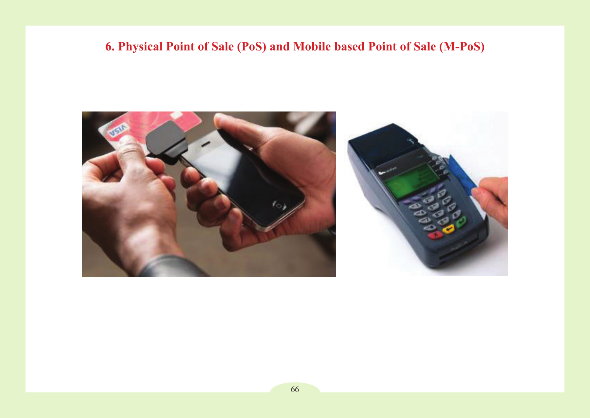# **6. Physical Point of Sale (PoS) and Mobile based Point of Sale (M-PoS)**

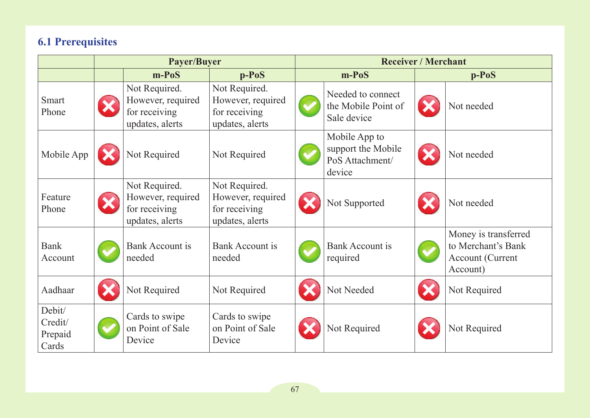## **6.1 Prerequisites**

|                                       | Payer/Buyer |                                                                        |                                                                        | <b>Receiver / Merchant</b> |                                                                  |  |                                                                                   |
|---------------------------------------|-------------|------------------------------------------------------------------------|------------------------------------------------------------------------|----------------------------|------------------------------------------------------------------|--|-----------------------------------------------------------------------------------|
|                                       |             | $m-PoS$                                                                | $p-PoS$                                                                |                            | $m-PoS$                                                          |  | $p-PoS$                                                                           |
| <b>Smart</b><br>Phone                 |             | Not Required.<br>However, required<br>for receiving<br>updates, alerts | Not Required.<br>However, required<br>for receiving<br>updates, alerts |                            | Needed to connect<br>the Mobile Point of<br>Sale device          |  | Not needed                                                                        |
| Mobile App                            |             | Not Required                                                           | Not Required                                                           |                            | Mobile App to<br>support the Mobile<br>PoS Attachment/<br>device |  | Not needed                                                                        |
| Feature<br>Phone                      |             | Not Required.<br>However, required<br>for receiving<br>updates, alerts | Not Required.<br>However, required<br>for receiving<br>updates, alerts |                            | Not Supported                                                    |  | Not needed                                                                        |
| <b>Bank</b><br>Account                |             | <b>Bank Account is</b><br>needed                                       | Bank Account is<br>needed                                              |                            | <b>Bank Account is</b><br>required                               |  | Money is transferred<br>to Merchant's Bank<br><b>Account (Current</b><br>Account) |
| Aadhaar                               |             | Not Required                                                           | Not Required                                                           |                            | Not Needed                                                       |  | Not Required                                                                      |
| Debit/<br>Credit/<br>Prepaid<br>Cards |             | Cards to swipe<br>on Point of Sale<br>Device                           | Cards to swipe<br>on Point of Sale<br>Device                           |                            | Not Required                                                     |  | Not Required                                                                      |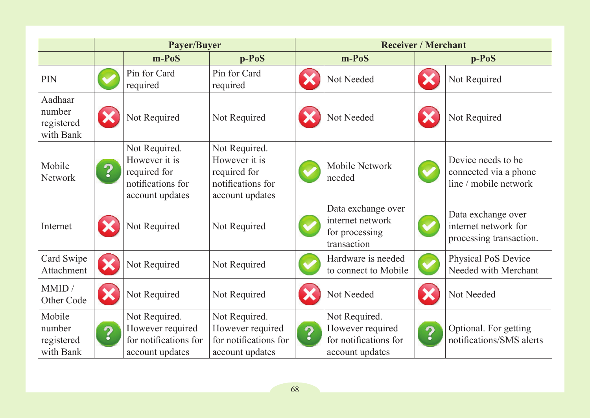|                                              | Payer/Buyer             |                                                                                        |                                                                                        | <b>Receiver / Merchant</b> |                                                                               |   |                                                                       |
|----------------------------------------------|-------------------------|----------------------------------------------------------------------------------------|----------------------------------------------------------------------------------------|----------------------------|-------------------------------------------------------------------------------|---|-----------------------------------------------------------------------|
|                                              |                         | $m-PoS$                                                                                | $p-PoS$                                                                                |                            | $m-PoS$                                                                       |   | $p-PoS$                                                               |
| PIN                                          |                         | Pin for Card<br>required                                                               | Pin for Card<br>required                                                               |                            | Not Needed                                                                    |   | Not Required                                                          |
| Aadhaar<br>number<br>registered<br>with Bank |                         | Not Required                                                                           | Not Required                                                                           |                            | Not Needed                                                                    |   | Not Required                                                          |
| Mobile<br><b>Network</b>                     | $\overline{\mathbf{2}}$ | Not Required.<br>However it is<br>required for<br>notifications for<br>account updates | Not Required.<br>However it is<br>required for<br>notifications for<br>account updates |                            | Mobile Network<br>needed                                                      |   | Device needs to be.<br>connected via a phone<br>line / mobile network |
| Internet                                     |                         | Not Required                                                                           | Not Required                                                                           |                            | Data exchange over<br>internet network<br>for processing<br>transaction       |   | Data exchange over<br>internet network for<br>processing transaction. |
| Card Swipe<br>Attachment                     |                         | Not Required                                                                           | Not Required                                                                           |                            | Hardware is needed<br>to connect to Mobile                                    |   | Physical PoS Device<br>Needed with Merchant                           |
| MMID /<br>Other Code                         | ×                       | Not Required                                                                           | Not Required                                                                           |                            | Not Needed                                                                    |   | Not Needed                                                            |
| Mobile<br>number<br>registered<br>with Bank  | $\overline{\mathbf{?}}$ | Not Required.<br>However required<br>for notifications for<br>account updates          | Not Required.<br>However required<br>for notifications for<br>account updates          | $\overline{\mathbf{?}}$    | Not Required.<br>However required<br>for notifications for<br>account updates | ? | Optional. For getting<br>notifications/SMS alerts                     |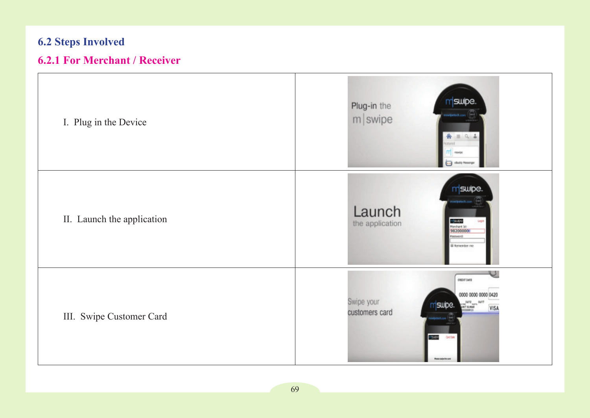# **6.2 Steps Involved**

# **6.2.1 For Merchant / Receiver**

| I. Plug in the Device      | m <sup>swipe</sup><br>Plug-in the<br>m swipe<br>$A \equiv 0.1$<br>stured<br>$\Gamma\Gamma$ mean<br>$\overline{\cdots}$<br>eBuddy Messe                                                   |
|----------------------------|------------------------------------------------------------------------------------------------------------------------------------------------------------------------------------------|
| II. Launch the application | mswipe.<br>Launch<br><b>m</b> 20100<br>Marchard In:<br>982000000<br>Login<br>the application<br><b>brown</b><br>iii kenevter me                                                          |
| III. Swipe Customer Card   | U<br><b>CHEDIT CARD</b><br>0000 0000 0000 0420<br>Swipe your<br>04/17<br><b>T</b> swipe.<br>$\frac{1}{2}$<br>VISA<br>customers card<br>risito<br>Ord Sile<br><b>Peace selection card</b> |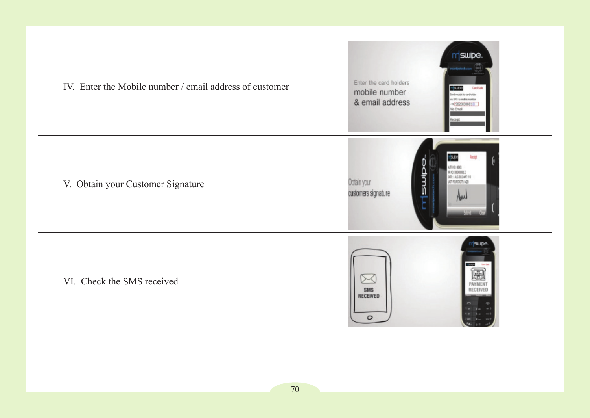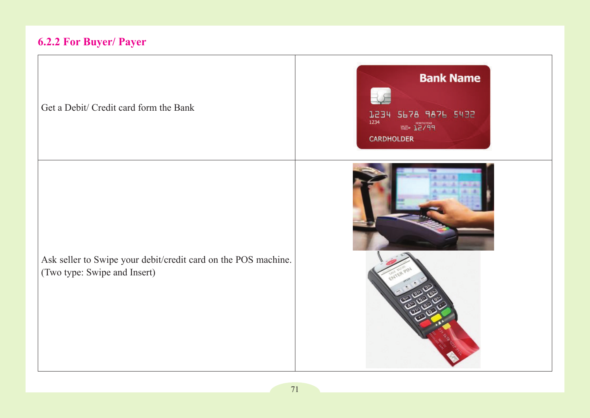## **6.2.2 For Buyer/ Payer**

Get a Debit/ Credit card form the Bank





Ask seller to Swipe your debit/credit card on the POS machine. (Two type: Swipe and Insert)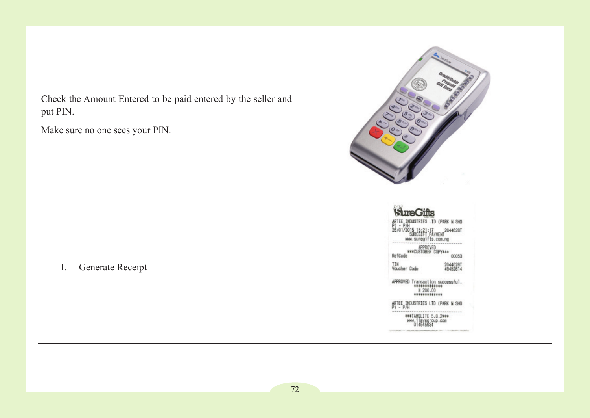Check the Amount Entered to be paid entered by the seller and put PIN.

Make sure no one sees your PIN.

I. Generate Receipt



N SHO 26/01/2015 SUREGIFT PAYMENT

APPROVED<br>\*\*\*CUSTOMER COPY\*\*\* RefCode 00053

**TIN**<br>Voucher Code 20446281

ARTEE INDUSTRIES LTD (PARK N SHO

###TAMSLITE 5.0.2\*\*\* www.iisysgroup.com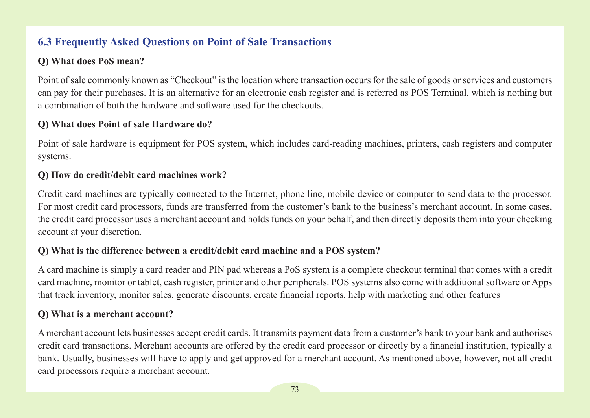## **6.3 Frequently Asked Questions on Point of Sale Transactions**

#### **Q) What does PoS mean?**

Point of sale commonly known as "Checkout" is the location where transaction occurs for the sale of goods or services and customers can pay for their purchases. It is an alternative for an electronic cash register and is referred as POS Terminal, which is nothing but a combination of both the hardware and software used for the checkouts.

#### **Q) What does Point of sale Hardware do?**

Point of sale hardware is equipment for POS system, which includes card-reading machines, printers, cash registers and computer systems.

#### **Q) How do credit/debit card machines work?**

Credit card machines are typically connected to the Internet, phone line, mobile device or computer to send data to the processor. For most credit card processors, funds are transferred from the customer's bank to the business's merchant account. In some cases, the credit card processor uses a merchant account and holds funds on your behalf, and then directly deposits them into your checking account at your discretion.

#### **Q) What is the difference between a credit/debit card machine and a POS system?**

A card machine is simply a card reader and PIN pad whereas a PoS system is a complete checkout terminal that comes with a credit card machine, monitor or tablet, cash register, printer and other peripherals. POS systems also come with additional software or Apps that track inventory, monitor sales, generate discounts, create financial reports, help with marketing and other features

#### **Q) What is a merchant account?**

A merchant account lets businesses accept credit cards. It transmits payment data from a customer's bank to your bank and authorises credit card transactions. Merchant accounts are offered by the credit card processor or directly by a financial institution, typically a bank. Usually, businesses will have to apply and get approved for a merchant account. As mentioned above, however, not all credit card processors require a merchant account.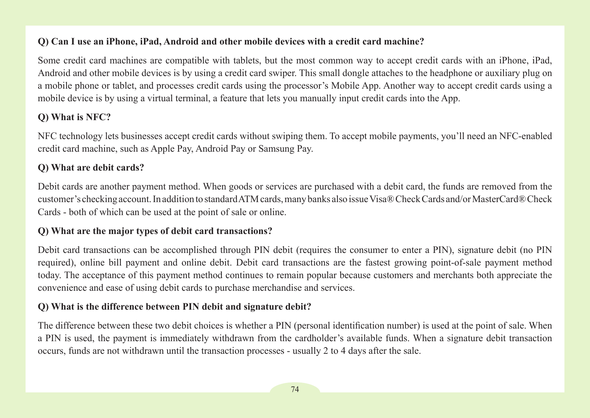#### **Q) Can I use an iPhone, iPad, Android and other mobile devices with a credit card machine?**

Some credit card machines are compatible with tablets, but the most common way to accept credit cards with an iPhone, iPad, Android and other mobile devices is by using a credit card swiper. This small dongle attaches to the headphone or auxiliary plug on a mobile phone or tablet, and processes credit cards using the processor's Mobile App. Another way to accept credit cards using a mobile device is by using a virtual terminal, a feature that lets you manually input credit cards into the App.

#### **Q) What is NFC?**

NFC technology lets businesses accept credit cards without swiping them. To accept mobile payments, you'll need an NFC-enabled credit card machine, such as Apple Pay, Android Pay or Samsung Pay.

#### **Q) What are debit cards?**

Debit cards are another payment method. When goods or services are purchased with a debit card, the funds are removed from the customer's checking account. In addition to standard ATM cards, many banks also issue Visa®Check Cards and/or MasterCard®Check Cards - both of which can be used at the point of sale or online.

#### **Q) What are the major types of debit card transactions?**

Debit card transactions can be accomplished through PIN debit (requires the consumer to enter a PIN), signature debit (no PIN required), online bill payment and online debit. Debit card transactions are the fastest growing point-of-sale payment method today. The acceptance of this payment method continues to remain popular because customers and merchants both appreciate the convenience and ease of using debit cards to purchase merchandise and services.

#### **Q) What is the difference between PIN debit and signature debit?**

The difference between these two debit choices is whether a PIN (personal identification number) is used at the point of sale. When a PIN is used, the payment is immediately withdrawn from the cardholder's available funds. When a signature debit transaction occurs, funds are not withdrawn until the transaction processes - usually 2 to 4 days after the sale.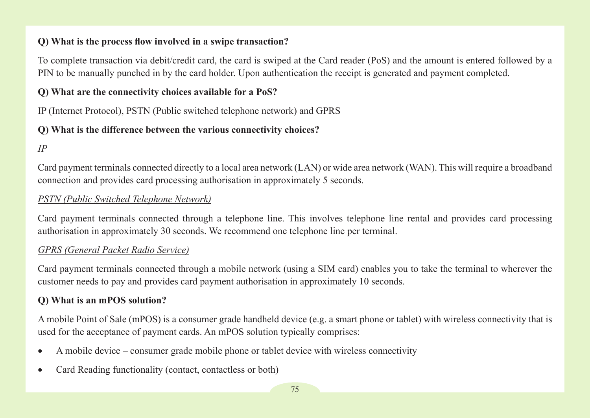#### **Q) What is the process flow involved in a swipe transaction?**

To complete transaction via debit/credit card, the card is swiped at the Card reader (PoS) and the amount is entered followed by a PIN to be manually punched in by the card holder. Upon authentication the receipt is generated and payment completed.

#### **Q) What are the connectivity choices available for a PoS?**

IP (Internet Protocol), PSTN (Public switched telephone network) and GPRS

#### **Q) What is the difference between the various connectivity choices?**

## *IP*

Card payment terminals connected directly to a local area network (LAN) or wide area network (WAN). This will require a broadband connection and provides card processing authorisation in approximately 5 seconds.

#### *PSTN (Public Switched Telephone Network)*

Card payment terminals connected through a telephone line. This involves telephone line rental and provides card processing authorisation in approximately 30 seconds. We recommend one telephone line per terminal.

#### *GPRS (General Packet Radio Service)*

Card payment terminals connected through a mobile network (using a SIM card) enables you to take the terminal to wherever the customer needs to pay and provides card payment authorisation in approximately 10 seconds.

#### **Q) What is an mPOS solution?**

A mobile Point of Sale (mPOS) is a consumer grade handheld device (e.g. a smart phone or tablet) with wireless connectivity that is used for the acceptance of payment cards. An mPOS solution typically comprises:

- A mobile device consumer grade mobile phone or tablet device with wireless connectivity
- Card Reading functionality (contact, contactless or both)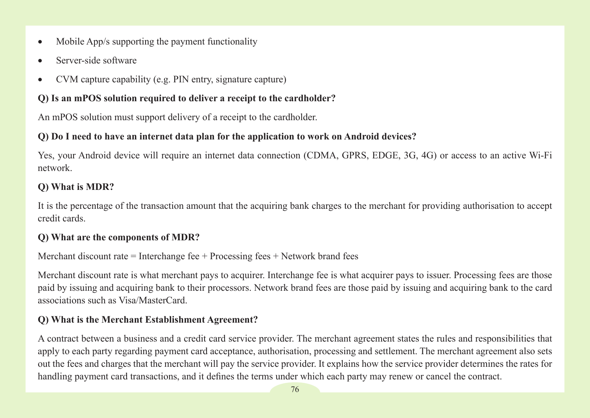- Mobile App/s supporting the payment functionality
- Server-side software
- CVM capture capability (e.g. PIN entry, signature capture)

#### **Q) Is an mPOS solution required to deliver a receipt to the cardholder?**

An mPOS solution must support delivery of a receipt to the cardholder.

#### **Q) Do I need to have an internet data plan for the application to work on Android devices?**

Yes, your Android device will require an internet data connection (CDMA, GPRS, EDGE, 3G, 4G) or access to an active Wi-Fi network.

#### **Q) What is MDR?**

It is the percentage of the transaction amount that the acquiring bank charges to the merchant for providing authorisation to accept credit cards.

#### **Q) What are the components of MDR?**

Merchant discount rate  $=$  Interchange fee  $+$  Processing fees  $+$  Network brand fees

Merchant discount rate is what merchant pays to acquirer. Interchange fee is what acquirer pays to issuer. Processing fees are those paid by issuing and acquiring bank to their processors. Network brand fees are those paid by issuing and acquiring bank to the card associations such as Visa/MasterCard.

### **Q) What is the Merchant Establishment Agreement?**

A contract between a business and a credit card service provider. The merchant agreement states the rules and responsibilities that apply to each party regarding payment card acceptance, authorisation, processing and settlement. The merchant agreement also sets out the fees and charges that the merchant will pay the service provider. It explains how the service provider determines the rates for handling payment card transactions, and it defines the terms under which each party may renew or cancel the contract.